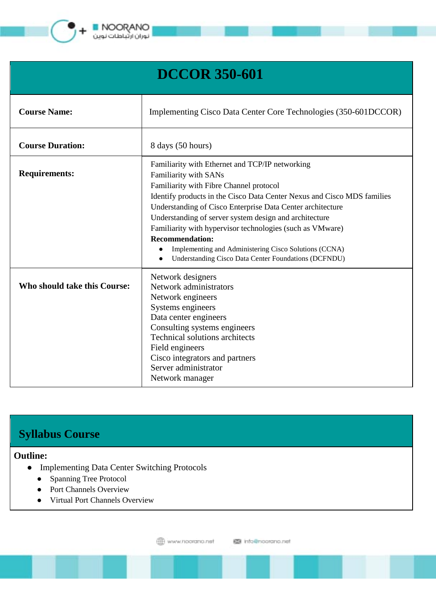

**NOORANO** توران ارتباطات نوین

| <b>DCCOR 350-601</b>         |                                                                                                                                                                                                                                                                                                                                                                                                                                                                                                                                |
|------------------------------|--------------------------------------------------------------------------------------------------------------------------------------------------------------------------------------------------------------------------------------------------------------------------------------------------------------------------------------------------------------------------------------------------------------------------------------------------------------------------------------------------------------------------------|
| <b>Course Name:</b>          | Implementing Cisco Data Center Core Technologies (350-601DCCOR)                                                                                                                                                                                                                                                                                                                                                                                                                                                                |
| <b>Course Duration:</b>      | 8 days (50 hours)                                                                                                                                                                                                                                                                                                                                                                                                                                                                                                              |
| <b>Requirements:</b>         | Familiarity with Ethernet and TCP/IP networking<br>Familiarity with SANs<br>Familiarity with Fibre Channel protocol<br>Identify products in the Cisco Data Center Nexus and Cisco MDS families<br>Understanding of Cisco Enterprise Data Center architecture<br>Understanding of server system design and architecture<br>Familiarity with hypervisor technologies (such as VMware)<br><b>Recommendation:</b><br>Implementing and Administering Cisco Solutions (CCNA)<br>Understanding Cisco Data Center Foundations (DCFNDU) |
| Who should take this Course: | Network designers<br>Network administrators<br>Network engineers<br>Systems engineers<br>Data center engineers<br>Consulting systems engineers<br><b>Technical solutions architects</b><br>Field engineers<br>Cisco integrators and partners<br>Server administrator<br>Network manager                                                                                                                                                                                                                                        |

# **Syllabus Course**

## **Outline:**

- Implementing Data Center Switching Protocols
	- Spanning Tree Protocol
	- Port Channels Overview
	- Virtual Port Channels Overview

@ www.noordno.net

图 info@noorano.net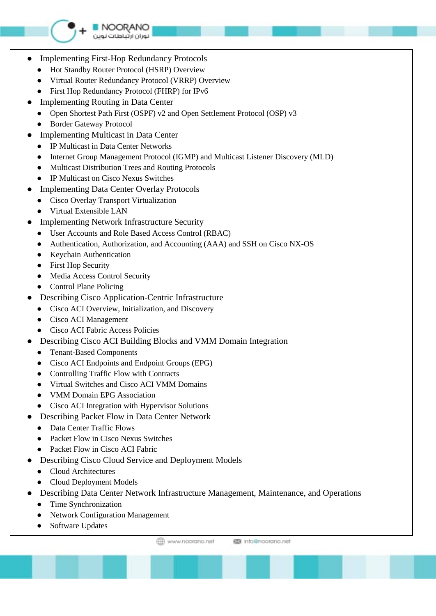

NOORANO توران ارتباطات نوين

- **Implementing First-Hop Redundancy Protocols** 
	- Hot Standby Router Protocol (HSRP) Overview
	- Virtual Router Redundancy Protocol (VRRP) Overview
	- First Hop Redundancy Protocol (FHRP) for IPv6
- Implementing Routing in Data Center
	- Open Shortest Path First (OSPF) v2 and Open Settlement Protocol (OSP) v3
	- Border Gateway Protocol
- Implementing Multicast in Data Center
	- IP Multicast in Data Center Networks
	- Internet Group Management Protocol (IGMP) and Multicast Listener Discovery (MLD)
	- Multicast Distribution Trees and Routing Protocols
	- IP Multicast on Cisco Nexus Switches
- Implementing Data Center Overlay Protocols
	- Cisco Overlay Transport Virtualization
	- Virtual Extensible LAN
- **Implementing Network Infrastructure Security** 
	- User Accounts and Role Based Access Control (RBAC)
	- Authentication, Authorization, and Accounting (AAA) and SSH on Cisco NX-OS
	- Keychain Authentication
	- First Hop Security
	- Media Access Control Security
	- Control Plane Policing
- **Describing Cisco Application-Centric Infrastructure** 
	- Cisco ACI Overview, Initialization, and Discovery
	- Cisco ACI Management
	- Cisco ACI Fabric Access Policies
- Describing Cisco ACI Building Blocks and VMM Domain Integration
	- Tenant-Based Components
	- Cisco ACI Endpoints and Endpoint Groups (EPG)
	- Controlling Traffic Flow with Contracts
	- Virtual Switches and Cisco ACI VMM Domains
	- VMM Domain EPG Association
	- Cisco ACI Integration with Hypervisor Solutions
- **Describing Packet Flow in Data Center Network** 
	- Data Center Traffic Flows
	- Packet Flow in Cisco Nexus Switches
	- Packet Flow in Cisco ACI Fabric
- Describing Cisco Cloud Service and Deployment Models
	- Cloud Architectures
	- Cloud Deployment Models
- Describing Data Center Network Infrastructure Management, Maintenance, and Operations
	- Time Synchronization
	- Network Configuration Management
	- Software Updates

**ED** www.noorging.net **IS info@noorano.net**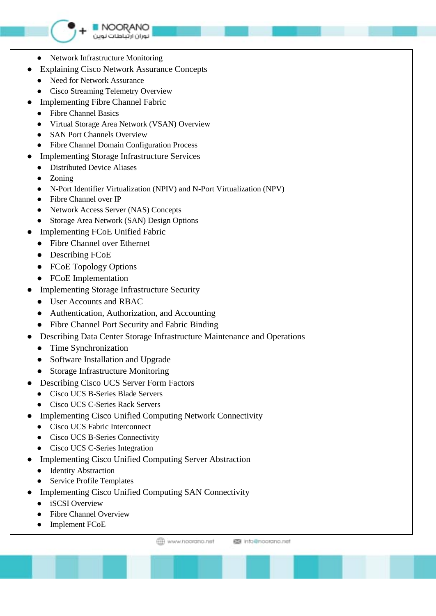# ● Network Infrastructure Monitoring

● Explaining Cisco Network Assurance Concepts

NOORANO توران ارتباطات نوين

- Need for Network Assurance
- Cisco Streaming Telemetry Overview
- Implementing Fibre Channel Fabric
	- Fibre Channel Basics
	- Virtual Storage Area Network (VSAN) Overview
	- SAN Port Channels Overview
	- Fibre Channel Domain Configuration Process
- **Implementing Storage Infrastructure Services** 
	- Distributed Device Aliases
	- **Zoning**
	- N-Port Identifier Virtualization (NPIV) and N-Port Virtualization (NPV)
	- Fibre Channel over IP
	- Network Access Server (NAS) Concepts
	- Storage Area Network (SAN) Design Options
- **Implementing FCoE Unified Fabric** 
	- Fibre Channel over Ethernet
	- Describing FCoE
	- FCoE Topology Options
	- FCoE Implementation
- Implementing Storage Infrastructure Security
	- User Accounts and RBAC
	- Authentication, Authorization, and Accounting
	- Fibre Channel Port Security and Fabric Binding
- Describing Data Center Storage Infrastructure Maintenance and Operations
	- Time Synchronization
	- Software Installation and Upgrade
	- Storage Infrastructure Monitoring
- Describing Cisco UCS Server Form Factors
	- Cisco UCS B-Series Blade Servers
	- Cisco UCS C-Series Rack Servers
- Implementing Cisco Unified Computing Network Connectivity
	- Cisco UCS Fabric Interconnect
	- Cisco UCS B-Series Connectivity
	- Cisco UCS C-Series Integration
- Implementing Cisco Unified Computing Server Abstraction
	- Identity Abstraction
	- Service Profile Templates
- Implementing Cisco Unified Computing SAN Connectivity
	- iSCSI Overview
	- **Fibre Channel Overview**
	- **Implement FCoE**

**ED** www.noorano.net **IS info@noorano.net**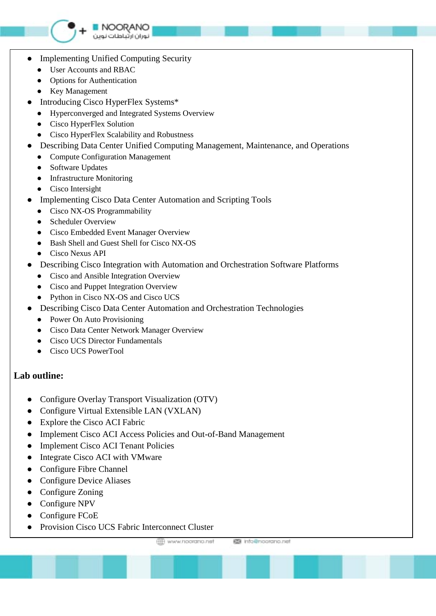

- **Implementing Unified Computing Security** 
	- User Accounts and RBAC
	- Options for Authentication
	- Key Management
- Introducing Cisco HyperFlex Systems\*
	- Hyperconverged and Integrated Systems Overview

NOORANO توران ارتباطات نوين

- Cisco HyperFlex Solution
- Cisco HyperFlex Scalability and Robustness
- Describing Data Center Unified Computing Management, Maintenance, and Operations
	- Compute Configuration Management
	- Software Updates
	- Infrastructure Monitoring
	- Cisco Intersight
- Implementing Cisco Data Center Automation and Scripting Tools
	- Cisco NX-OS Programmability
	- Scheduler Overview
	- Cisco Embedded Event Manager Overview
	- Bash Shell and Guest Shell for Cisco NX-OS
	- Cisco Nexus API
- Describing Cisco Integration with Automation and Orchestration Software Platforms
	- Cisco and Ansible Integration Overview
	- Cisco and Puppet Integration Overview
	- Python in Cisco NX-OS and Cisco UCS
- Describing Cisco Data Center Automation and Orchestration Technologies
	- Power On Auto Provisioning
	- Cisco Data Center Network Manager Overview
	- Cisco UCS Director Fundamentals
	- Cisco UCS PowerTool

#### **Lab outline:**

- Configure Overlay Transport Visualization (OTV)
- Configure Virtual Extensible LAN (VXLAN)
- Explore the Cisco ACI Fabric
- Implement Cisco ACI Access Policies and Out-of-Band Management
- Implement Cisco ACI Tenant Policies
- Integrate Cisco ACI with VMware
- Configure Fibre Channel
- Configure Device Aliases
- Configure Zoning
- Configure NPV
- Configure FCoE
- Provision Cisco UCS Fabric Interconnect Cluster

**EE** www.noorano.net

图 info@noorano.net